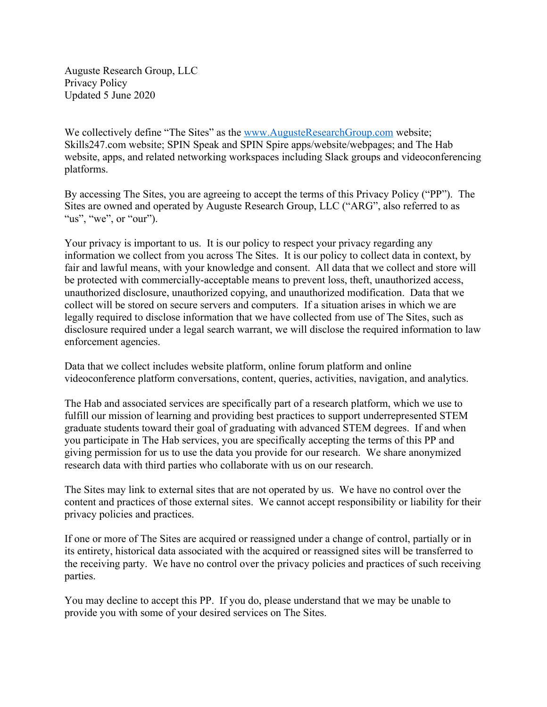Auguste Research Group, LLC Privacy Policy Updated 5 June 2020

We collectively define "The Sites" as the www.AugusteResearchGroup.com website; Skills247.com website; SPIN Speak and SPIN Spire apps/website/webpages; and The Hab website, apps, and related networking workspaces including Slack groups and videoconferencing platforms.

By accessing The Sites, you are agreeing to accept the terms of this Privacy Policy ("PP"). The Sites are owned and operated by Auguste Research Group, LLC ("ARG", also referred to as "us", "we", or "our").

Your privacy is important to us. It is our policy to respect your privacy regarding any information we collect from you across The Sites. It is our policy to collect data in context, by fair and lawful means, with your knowledge and consent. All data that we collect and store will be protected with commercially-acceptable means to prevent loss, theft, unauthorized access, unauthorized disclosure, unauthorized copying, and unauthorized modification. Data that we collect will be stored on secure servers and computers. If a situation arises in which we are legally required to disclose information that we have collected from use of The Sites, such as disclosure required under a legal search warrant, we will disclose the required information to law enforcement agencies.

Data that we collect includes website platform, online forum platform and online videoconference platform conversations, content, queries, activities, navigation, and analytics.

The Hab and associated services are specifically part of a research platform, which we use to fulfill our mission of learning and providing best practices to support underrepresented STEM graduate students toward their goal of graduating with advanced STEM degrees. If and when you participate in The Hab services, you are specifically accepting the terms of this PP and giving permission for us to use the data you provide for our research. We share anonymized research data with third parties who collaborate with us on our research.

The Sites may link to external sites that are not operated by us. We have no control over the content and practices of those external sites. We cannot accept responsibility or liability for their privacy policies and practices.

If one or more of The Sites are acquired or reassigned under a change of control, partially or in its entirety, historical data associated with the acquired or reassigned sites will be transferred to the receiving party. We have no control over the privacy policies and practices of such receiving parties.

You may decline to accept this PP. If you do, please understand that we may be unable to provide you with some of your desired services on The Sites.